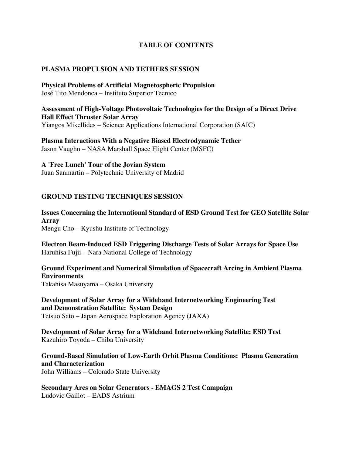#### **TABLE OF CONTENTS**

### **PLASMA PROPULSION AND TETHERS SESSION**

**Physical Problems of Artificial Magnetospheric Propulsion** José Tito Mendonca – Instituto Superior Tecnico

**Assessment of High-Voltage Photovoltaic Technologies for the Design of a Direct Drive Hall Effect Thruster Solar Array** Yiangos Mikellides – Science Applications International Corporation (SAIC)

**Plasma Interactions With a Negative Biased Electrodynamic Tether** Jason Vaughn – NASA Marshall Space Flight Center (MSFC)

### **A 'Free Lunch' Tour of the Jovian System**

Juan Sanmartin – Polytechnic University of Madrid

### **GROUND TESTING TECHNIQUES SESSION**

**Issues Concerning the International Standard of ESD Ground Test for GEO Satellite Solar Array** Mengu Cho – Kyushu Institute of Technology

**Electron Beam-Induced ESD Triggering Discharge Tests of Solar Arrays for Space Use** Haruhisa Fujii – Nara National College of Technology

**Ground Experiment and Numerical Simulation of Spacecraft Arcing in Ambient Plasma Environments** Takahisa Masuyama – Osaka University

**Development of Solar Array for a Wideband Internetworking Engineering Test and Demonstration Satellite: System Design** Tetsuo Sato – Japan Aerospace Exploration Agency (JAXA)

**Development of Solar Array for a Wideband Internetworking Satellite: ESD Test** Kazuhiro Toyoda – Chiba University

**Ground-Based Simulation of Low-Earth Orbit Plasma Conditions: Plasma Generation and Characterization** John Williams – Colorado State University

**Secondary Arcs on Solar Generators - EMAGS 2 Test Campaign** Ludovic Gaillot – EADS Astrium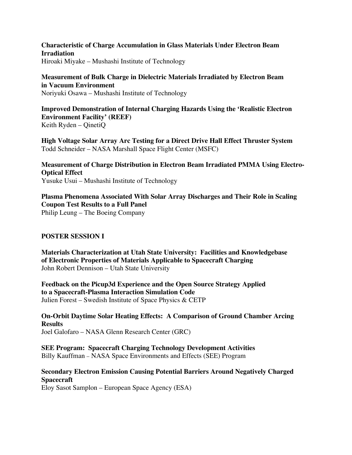**Characteristic of Charge Accumulation in Glass Materials Under Electron Beam Irradiation** Hiroaki Miyake – Mushashi Institute of Technology

**Measurement of Bulk Charge in Dielectric Materials Irradiated by Electron Beam in Vacuum Environment** Noriyuki Osawa – Mushashi Institute of Technology

**Improved Demonstration of Internal Charging Hazards Using the 'Realistic Electron Environment Facility' (REEF)** Keith Ryden – QinetiQ

**High Voltage Solar Array Arc Testing for a Direct Drive Hall Effect Thruster System** Todd Schneider – NASA Marshall Space Flight Center (MSFC)

**Measurement of Charge Distribution in Electron Beam Irradiated PMMA Using Electro-Optical Effect** Yusuke Usui – Mushashi Institute of Technology

**Plasma Phenomena Associated With Solar Array Discharges and Their Role in Scaling Coupon Test Results to a Full Panel** Philip Leung – The Boeing Company

# **POSTER SESSION I**

**Materials Characterization at Utah State University: Facilities and Knowledgebase of Electronic Properties of Materials Applicable to Spacecraft Charging** John Robert Dennison – Utah State University

**Feedback on the Picup3d Experience and the Open Source Strategy Applied to a Spacecraft-Plasma Interaction Simulation Code** Julien Forest – Swedish Institute of Space Physics & CETP

**On-Orbit Daytime Solar Heating Effects: A Comparison of Ground Chamber Arcing Results** Joel Galofaro – NASA Glenn Research Center (GRC)

**SEE Program: Spacecraft Charging Technology Development Activities** Billy Kauffman – NASA Space Environments and Effects (SEE) Program

**Secondary Electron Emission Causing Potential Barriers Around Negatively Charged Spacecraft**

Eloy Sasot Samplon – European Space Agency (ESA)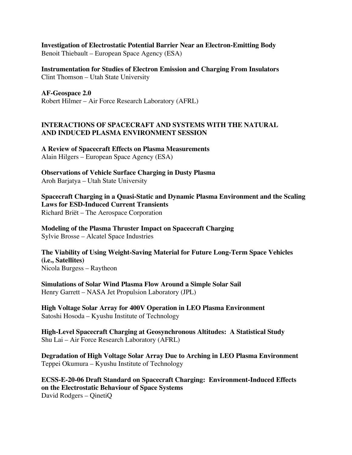**Investigation of Electrostatic Potential Barrier Near an Electron-Emitting Body** Benoit Thiebault – European Space Agency (ESA)

**Instrumentation for Studies of Electron Emission and Charging From Insulators** Clint Thomson – Utah State University

**AF-Geospace 2.0** Robert Hilmer – Air Force Research Laboratory (AFRL)

## **INTERACTIONS OF SPACECRAFT AND SYSTEMS WITH THE NATURAL AND INDUCED PLASMA ENVIRONMENT SESSION**

**A Review of Spacecraft Effects on Plasma Measurements** Alain Hilgers – European Space Agency (ESA)

**Observations of Vehicle Surface Charging in Dusty Plasma** Aroh Barjatya – Utah State University

**Spacecraft Charging in a Quasi-Static and Dynamic Plasma Environment and the Scaling Laws for ESD-Induced Current Transients** Richard Briët – The Aerospace Corporation

**Modeling of the Plasma Thruster Impact on Spacecraft Charging** Sylvie Brosse – Alcatel Space Industries

**The Viability of Using Weight-Saving Material for Future Long-Term Space Vehicles (i.e., Satellites)** Nicola Burgess – Raytheon

**Simulations of Solar Wind Plasma Flow Around a Simple Solar Sail** Henry Garrett – NASA Jet Propulsion Laboratory (JPL)

**High Voltage Solar Array for 400V Operation in LEO Plasma Environment** Satoshi Hosoda – Kyushu Institute of Technology

**High-Level Spacecraft Charging at Geosynchronous Altitudes: A Statistical Study** Shu Lai – Air Force Research Laboratory (AFRL)

**Degradation of High Voltage Solar Array Due to Arching in LEO Plasma Environment** Teppei Okumura – Kyushu Institute of Technology

**ECSS-E-20-06 Draft Standard on Spacecraft Charging: Environment-Induced Effects on the Electrostatic Behaviour of Space Systems** David Rodgers – QinetiQ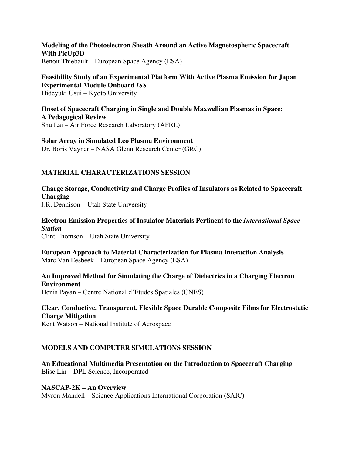**Modeling of the Photoelectron Sheath Around an Active Magnetospheric Spacecraft With PicUp3D** Benoit Thiebault – European Space Agency (ESA)

**Feasibility Study of an Experimental Platform With Active Plasma Emission for Japan Experimental Module Onboard** *ISS* Hideyuki Usui – Kyoto University

**Onset of Spacecraft Charging in Single and Double Maxwellian Plasmas in Space: A Pedagogical Review** Shu Lai – Air Force Research Laboratory (AFRL)

**Solar Array in Simulated Leo Plasma Environment** Dr. Boris Vayner – NASA Glenn Research Center (GRC)

## **MATERIAL CHARACTERIZATIONS SESSION**

**Charge Storage, Conductivity and Charge Profiles of Insulators as Related to Spacecraft Charging** J.R. Dennison – Utah State University

**Electron Emission Properties of Insulator Materials Pertinent to the** *International Space Station* Clint Thomson – Utah State University

**European Approach to Material Characterization for Plasma Interaction Analysis** Marc Van Eesbeek – European Space Agency (ESA)

**An Improved Method for Simulating the Charge of Dielectrics in a Charging Electron Environment** Denis Payan – Centre National d'Etudes Spatiales (CNES)

**Clear, Conductive, Transparent, Flexible Space Durable Composite Films for Electrostatic Charge Mitigation** Kent Watson – National Institute of Aerospace

### **MODELS AND COMPUTER SIMULATIONS SESSION**

**An Educational Multimedia Presentation on the Introduction to Spacecraft Charging** Elise Lin – DPL Science, Incorporated

**NASCAP-2K – An Overview** Myron Mandell – Science Applications International Corporation (SAIC)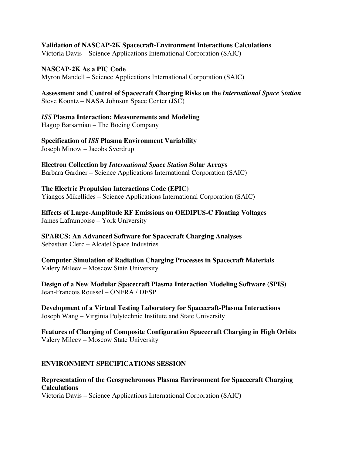## **Validation of NASCAP-2K Spacecraft-Environment Interactions Calculations**

Victoria Davis – Science Applications International Corporation (SAIC)

#### **NASCAP-2K As a PIC Code** Myron Mandell – Science Applications International Corporation (SAIC)

**Assessment and Control of Spacecraft Charging Risks on the** *International Space Station* Steve Koontz – NASA Johnson Space Center (JSC)

# *ISS* **Plasma Interaction: Measurements and Modeling**

Hagop Barsamian – The Boeing Company

**Specification of** *ISS* **Plasma Environment Variability** Joseph Minow – Jacobs Sverdrup

**Electron Collection by** *International Space Station* **Solar Arrays** Barbara Gardner – Science Applications International Corporation (SAIC)

#### **The Electric Propulsion Interactions Code (EPIC)** Yiangos Mikellides – Science Applications International Corporation (SAIC)

**Effects of Large-Amplitude RF Emissions on OEDIPUS-C Floating Voltages** James Laframboise – York University

**SPARCS: An Advanced Software for Spacecraft Charging Analyses** Sebastian Clerc – Alcatel Space Industries

**Computer Simulation of Radiation Charging Processes in Spacecraft Materials** Valery Mileev – Moscow State University

**Design of a New Modular Spacecraft Plasma Interaction Modeling Software (SPIS)** Jean-Francois Roussel – ONERA / DESP

**Development of a Virtual Testing Laboratory for Spacecraft-Plasma Interactions** Joseph Wang – Virginia Polytechnic Institute and State University

**Features of Charging of Composite Configuration Spacecraft Charging in High Orbits** Valery Mileev – Moscow State University

# **ENVIRONMENT SPECIFICATIONS SESSION**

# **Representation of the Geosynchronous Plasma Environment for Spacecraft Charging Calculations**

Victoria Davis – Science Applications International Corporation (SAIC)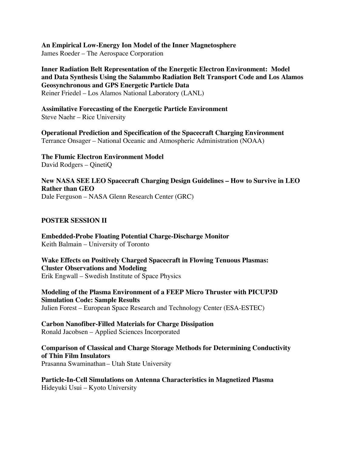**An Empirical Low-Energy Ion Model of the Inner Magnetosphere**

James Roeder – The Aerospace Corporation

**Inner Radiation Belt Representation of the Energetic Electron Environment: Model and Data Synthesis Using the Salammbo Radiation Belt Transport Code and Los Alamos Geosynchronous and GPS Energetic Particle Data** Reiner Friedel – Los Alamos National Laboratory (LANL)

**Assimilative Forecasting of the Energetic Particle Environment** Steve Naehr – Rice University

**Operational Prediction and Specification of the Spacecraft Charging Environment** Terrance Onsager – National Oceanic and Atmospheric Administration (NOAA)

**The Flumic Electron Environment Model** David Rodgers – QinetiQ

**New NASA SEE LEO Spacecraft Charging Design Guidelines – How to Survive in LEO Rather than GEO** Dale Ferguson – NASA Glenn Research Center (GRC)

## **POSTER SESSION II**

**Embedded-Probe Floating Potential Charge-Discharge Monitor** Keith Balmain – University of Toronto

**Wake Effects on Positively Charged Spacecraft in Flowing Tenuous Plasmas: Cluster Observations and Modeling** Erik Engwall – Swedish Institute of Space Physics

**Modeling of the Plasma Environment of a FEEP Micro Thruster with PICUP3D Simulation Code: Sample Results** Julien Forest – European Space Research and Technology Center (ESA-ESTEC)

**Carbon Nanofiber-Filled Materials for Charge Dissipation** Ronald Jacobsen – Applied Sciences Incorporated

**Comparison of Classical and Charge Storage Methods for Determining Conductivity of Thin Film Insulators** Prasanna Swaminathan – Utah State University

**Particle-In-Cell Simulations on Antenna Characteristics in Magnetized Plasma** Hideyuki Usui – Kyoto University